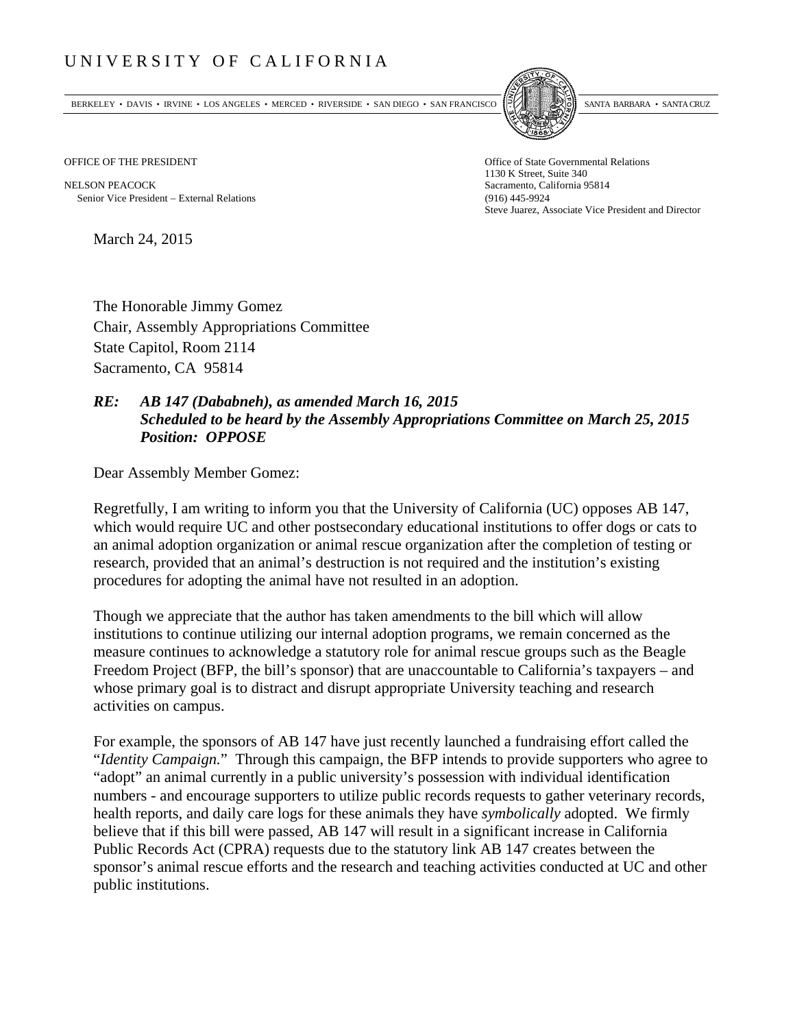## UNIVERSITY OF CALIFORNIA

BERKELEY • DAVIS • IRVINE • LOS ANGELES • MERCED • RIVERSIDE • SAN DIEGO • SAN FRANCISCO SANTA BARBARA • SANTA CRUZ



OFFICE OF THE PRESIDENT STATES OF THE PRESIDENT

NELSON PEACOCK Sacramento, California 95814 Senior Vice President External Relations (916) 445-9924

1130 K Street, Suite 340 Steve Juarez, Associate Vice President and Director

March 24, 2015

The Honorable Jimmy Gomez Chair, Assembly Appropriations Committee State Capitol, Room 2114 Sacramento, CA 95814

## *RE: AB 147 (Dababneh), as amended March 16, 2015 Scheduled to be heard by the Assembly Appropriations Committee on March 25, 2015 Position: OPPOSE*

Dear Assembly Member Gomez:

Regretfully, I am writing to inform you that the University of California (UC) opposes AB 147, which would require UC and other postsecondary educational institutions to offer dogs or cats to an animal adoption organization or animal rescue organization after the completion of testing or research, provided that an animal's destruction is not required and the institution's existing procedures for adopting the animal have not resulted in an adoption.

Though we appreciate that the author has taken amendments to the bill which will allow institutions to continue utilizing our internal adoption programs, we remain concerned as the measure continues to acknowledge a statutory role for animal rescue groups such as the Beagle Freedom Project (BFP, the bill's sponsor) that are unaccountable to California's taxpayers – and whose primary goal is to distract and disrupt appropriate University teaching and research activities on campus.

For example, the sponsors of AB 147 have just recently launched a fundraising effort called the "*Identity Campaign.*" Through this campaign, the BFP intends to provide supporters who agree to "adopt" an animal currently in a public university's possession with individual identification numbers - and encourage supporters to utilize public records requests to gather veterinary records, health reports, and daily care logs for these animals they have *symbolically* adopted. We firmly believe that if this bill were passed, AB 147 will result in a significant increase in California Public Records Act (CPRA) requests due to the statutory link AB 147 creates between the sponsor's animal rescue efforts and the research and teaching activities conducted at UC and other public institutions.